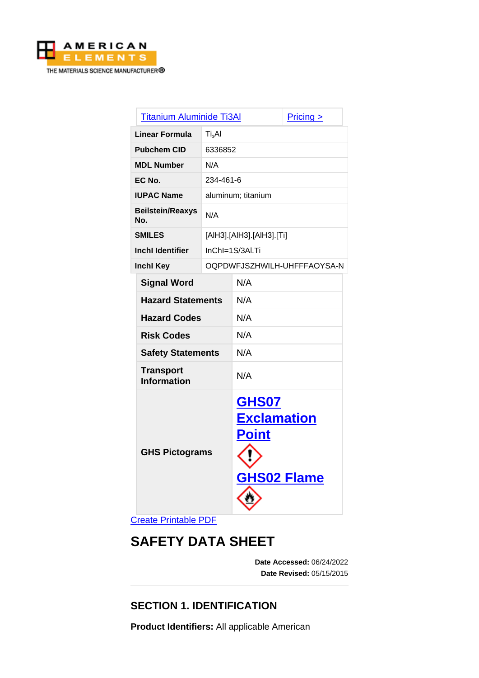

| <b>Titanium Aluminide Ti3Al</b>        |                           |                                                                   | $Pricing \ge$               |  |
|----------------------------------------|---------------------------|-------------------------------------------------------------------|-----------------------------|--|
| Ti <sub>3</sub> Al<br>Linear Formula   |                           |                                                                   |                             |  |
| <b>Pubchem CID</b><br>6336852          |                           |                                                                   |                             |  |
| <b>MDL Number</b>                      | N/A                       |                                                                   |                             |  |
| EC No.                                 | 234-461-6                 |                                                                   |                             |  |
| <b>IUPAC Name</b>                      | aluminum; titanium        |                                                                   |                             |  |
| <b>Beilstein/Reaxys</b><br>No.         | N/A                       |                                                                   |                             |  |
| <b>SMILES</b>                          | [AIH3].[AIH3].[AIH3].[Ti] |                                                                   |                             |  |
| <b>Inchl Identifier</b>                | InChI=1S/3AI.Ti           |                                                                   |                             |  |
| <b>Inchl Key</b>                       |                           |                                                                   | OQPDWFJSZHWILH-UHFFFAOYSA-N |  |
| <b>Signal Word</b>                     |                           | N/A                                                               |                             |  |
| <b>Hazard Statements</b>               |                           | N/A                                                               |                             |  |
| <b>Hazard Codes</b>                    |                           | N/A                                                               |                             |  |
| <b>Risk Codes</b>                      |                           | N/A                                                               |                             |  |
| <b>Safety Statements</b>               |                           | N/A                                                               |                             |  |
| <b>Transport</b><br><b>Information</b> |                           | N/A                                                               |                             |  |
| <b>GHS Pictograms</b>                  |                           | GHS07<br><b>Exclamation</b><br><b>Point</b><br><b>GHS02 Flame</b> |                             |  |

[Create Printable PDF](https://www.americanelements.com/printpdf/cas/39410-63-4/sds)

# **SAFETY DATA SHEET**

**Date Accessed:** 06/24/2022 **Date Revised:** 05/15/2015

## **SECTION 1. IDENTIFICATION**

**Product Identifiers:** All applicable American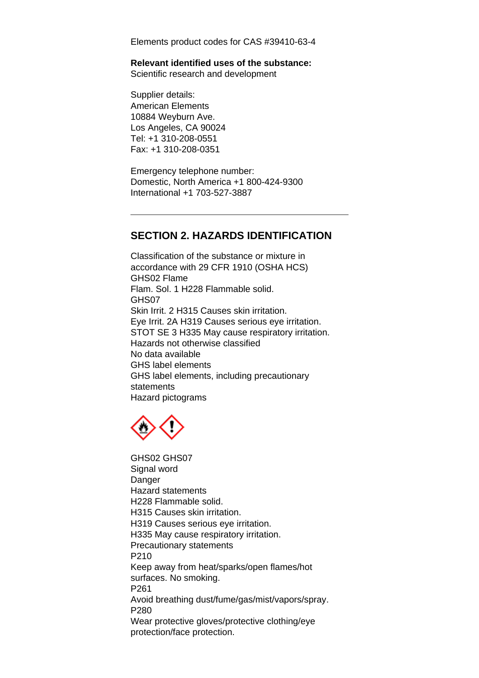Elements product codes for CAS #39410-63-4

#### **Relevant identified uses of the substance:**

Scientific research and development

Supplier details: American Elements 10884 Weyburn Ave. Los Angeles, CA 90024 Tel: +1 310-208-0551 Fax: +1 310-208-0351

Emergency telephone number: Domestic, North America +1 800-424-9300 International +1 703-527-3887

#### **SECTION 2. HAZARDS IDENTIFICATION**

Classification of the substance or mixture in accordance with 29 CFR 1910 (OSHA HCS) GHS02 Flame Flam. Sol. 1 H228 Flammable solid. GHS07 Skin Irrit. 2 H315 Causes skin irritation. Eye Irrit. 2A H319 Causes serious eye irritation. STOT SE 3 H335 May cause respiratory irritation. Hazards not otherwise classified No data available GHS label elements GHS label elements, including precautionary statements Hazard pictograms



GHS02 GHS07 Signal word Danger Hazard statements H228 Flammable solid. H315 Causes skin irritation. H319 Causes serious eye irritation. H335 May cause respiratory irritation. Precautionary statements P210 Keep away from heat/sparks/open flames/hot surfaces. No smoking. P261 Avoid breathing dust/fume/gas/mist/vapors/spray. P280 Wear protective gloves/protective clothing/eye protection/face protection.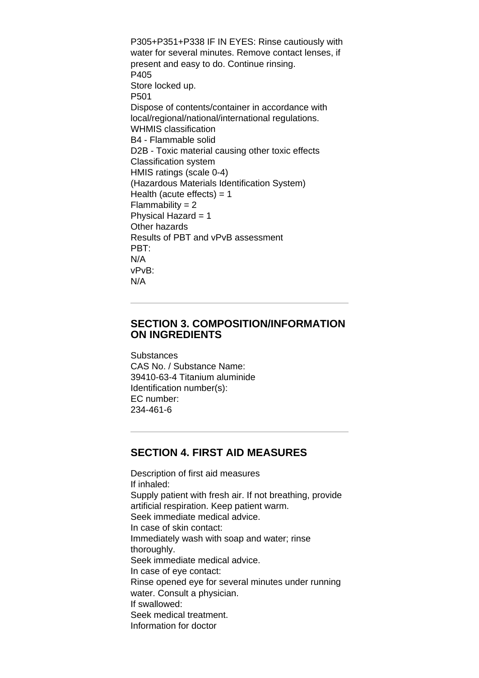P305+P351+P338 IF IN EYES: Rinse cautiously with water for several minutes. Remove contact lenses, if present and easy to do. Continue rinsing. P405 Store locked up. P501 Dispose of contents/container in accordance with local/regional/national/international regulations. WHMIS classification B4 - Flammable solid D2B - Toxic material causing other toxic effects Classification system HMIS ratings (scale 0-4) (Hazardous Materials Identification System) Health (acute effects)  $= 1$  $Flammability = 2$ Physical Hazard  $= 1$ Other hazards Results of PBT and vPvB assessment PBT: N/A vPvB: N/A

#### **SECTION 3. COMPOSITION/INFORMATION ON INGREDIENTS**

**Substances** CAS No. / Substance Name: 39410-63-4 Titanium aluminide Identification number(s): EC number: 234-461-6

#### **SECTION 4. FIRST AID MEASURES**

Description of first aid measures If inhaled: Supply patient with fresh air. If not breathing, provide artificial respiration. Keep patient warm. Seek immediate medical advice. In case of skin contact: Immediately wash with soap and water; rinse thoroughly. Seek immediate medical advice. In case of eye contact: Rinse opened eye for several minutes under running water. Consult a physician. If swallowed: Seek medical treatment. Information for doctor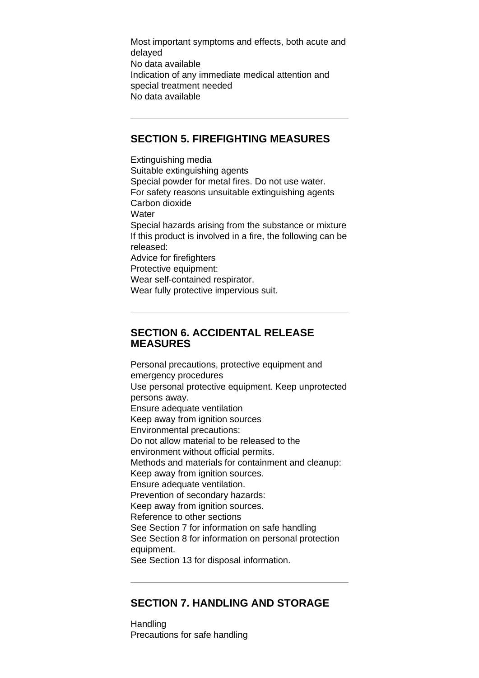Most important symptoms and effects, both acute and delayed No data available Indication of any immediate medical attention and special treatment needed No data available

#### **SECTION 5. FIREFIGHTING MEASURES**

Extinguishing media Suitable extinguishing agents Special powder for metal fires. Do not use water. For safety reasons unsuitable extinguishing agents Carbon dioxide **Water** Special hazards arising from the substance or mixture If this product is involved in a fire, the following can be released: Advice for firefighters Protective equipment: Wear self-contained respirator. Wear fully protective impervious suit.

#### **SECTION 6. ACCIDENTAL RELEASE MEASURES**

Personal precautions, protective equipment and emergency procedures Use personal protective equipment. Keep unprotected persons away. Ensure adequate ventilation Keep away from ignition sources Environmental precautions: Do not allow material to be released to the environment without official permits. Methods and materials for containment and cleanup: Keep away from ignition sources. Ensure adequate ventilation. Prevention of secondary hazards: Keep away from ignition sources. Reference to other sections See Section 7 for information on safe handling See Section 8 for information on personal protection equipment. See Section 13 for disposal information.

#### **SECTION 7. HANDLING AND STORAGE**

Handling Precautions for safe handling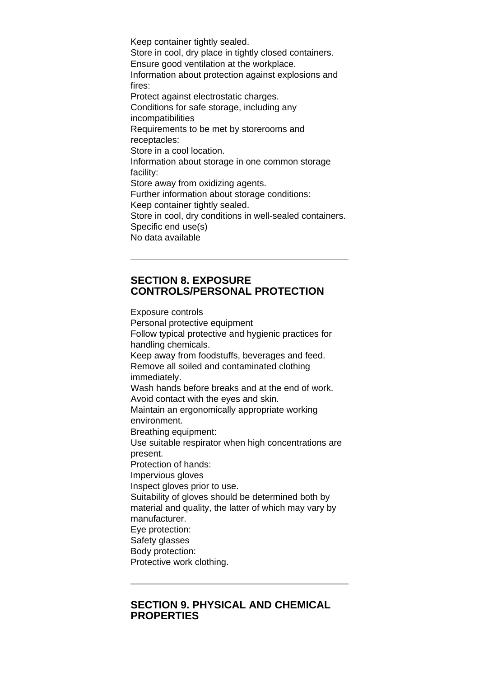Keep container tightly sealed. Store in cool, dry place in tightly closed containers. Ensure good ventilation at the workplace. Information about protection against explosions and fires: Protect against electrostatic charges. Conditions for safe storage, including any incompatibilities Requirements to be met by storerooms and receptacles: Store in a cool location. Information about storage in one common storage facility: Store away from oxidizing agents. Further information about storage conditions: Keep container tightly sealed. Store in cool, dry conditions in well-sealed containers. Specific end use(s) No data available

#### **SECTION 8. EXPOSURE CONTROLS/PERSONAL PROTECTION**

Exposure controls Personal protective equipment Follow typical protective and hygienic practices for handling chemicals. Keep away from foodstuffs, beverages and feed. Remove all soiled and contaminated clothing immediately. Wash hands before breaks and at the end of work. Avoid contact with the eyes and skin. Maintain an ergonomically appropriate working environment. Breathing equipment: Use suitable respirator when high concentrations are present. Protection of hands: Impervious gloves Inspect gloves prior to use. Suitability of gloves should be determined both by material and quality, the latter of which may vary by manufacturer. Eye protection: Safety glasses Body protection: Protective work clothing.

#### **SECTION 9. PHYSICAL AND CHEMICAL PROPERTIES**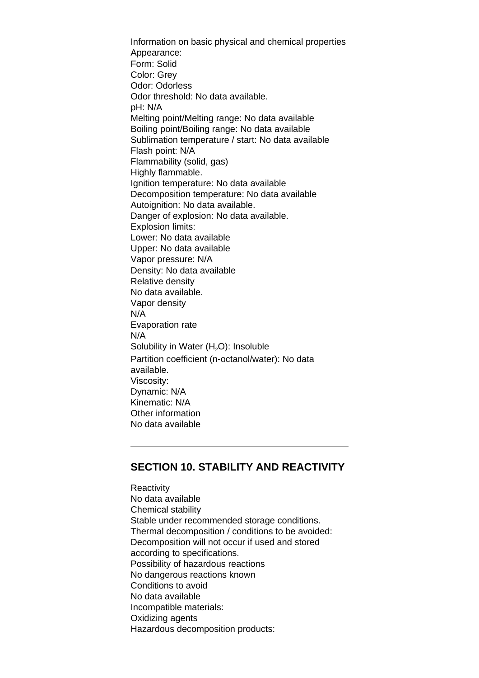Information on basic physical and chemical properties Appearance: Form: Solid Color: Grey Odor: Odorless Odor threshold: No data available. pH: N/A Melting point/Melting range: No data available Boiling point/Boiling range: No data available Sublimation temperature / start: No data available Flash point: N/A Flammability (solid, gas) Highly flammable. Ignition temperature: No data available Decomposition temperature: No data available Autoignition: No data available. Danger of explosion: No data available. Explosion limits: Lower: No data available Upper: No data available Vapor pressure: N/A Density: No data available Relative density No data available. Vapor density N/A Evaporation rate N/A Solubility in Water  $(H<sub>2</sub>O)$ : Insoluble Partition coefficient (n-octanol/water): No data available. Viscosity: Dynamic: N/A Kinematic: N/A Other information No data available

#### **SECTION 10. STABILITY AND REACTIVITY**

**Reactivity** No data available Chemical stability Stable under recommended storage conditions. Thermal decomposition / conditions to be avoided: Decomposition will not occur if used and stored according to specifications. Possibility of hazardous reactions No dangerous reactions known Conditions to avoid No data available Incompatible materials: Oxidizing agents Hazardous decomposition products: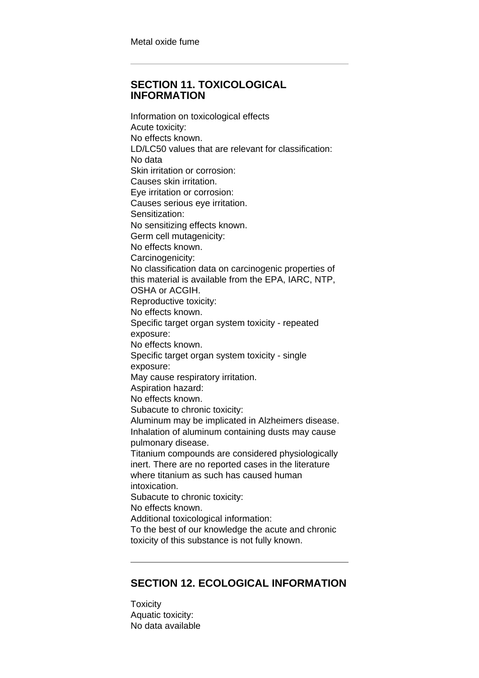#### **SECTION 11. TOXICOLOGICAL INFORMATION**

Information on toxicological effects Acute toxicity: No effects known. LD/LC50 values that are relevant for classification: No data Skin irritation or corrosion: Causes skin irritation. Eye irritation or corrosion: Causes serious eye irritation. Sensitization: No sensitizing effects known. Germ cell mutagenicity: No effects known. Carcinogenicity: No classification data on carcinogenic properties of this material is available from the EPA, IARC, NTP, OSHA or ACGIH. Reproductive toxicity: No effects known. Specific target organ system toxicity - repeated exposure: No effects known. Specific target organ system toxicity - single exposure: May cause respiratory irritation. Aspiration hazard: No effects known. Subacute to chronic toxicity: Aluminum may be implicated in Alzheimers disease. Inhalation of aluminum containing dusts may cause pulmonary disease. Titanium compounds are considered physiologically inert. There are no reported cases in the literature where titanium as such has caused human intoxication. Subacute to chronic toxicity: No effects known. Additional toxicological information: To the best of our knowledge the acute and chronic toxicity of this substance is not fully known.

### **SECTION 12. ECOLOGICAL INFORMATION**

**Toxicity** Aquatic toxicity: No data available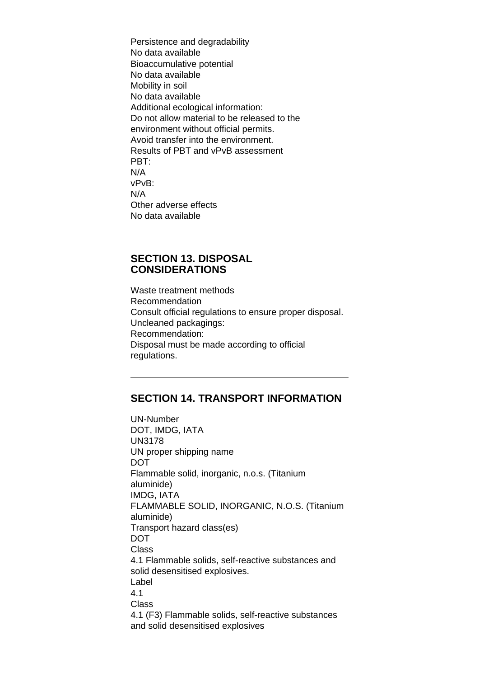Persistence and degradability No data available Bioaccumulative potential No data available Mobility in soil No data available Additional ecological information: Do not allow material to be released to the environment without official permits. Avoid transfer into the environment. Results of PBT and vPvB assessment PBT: N/A vPvB: N/A Other adverse effects No data available

#### **SECTION 13. DISPOSAL CONSIDERATIONS**

Waste treatment methods Recommendation Consult official regulations to ensure proper disposal. Uncleaned packagings: Recommendation: Disposal must be made according to official regulations.

#### **SECTION 14. TRANSPORT INFORMATION**

UN-Number DOT, IMDG, IATA UN3178 UN proper shipping name DOT Flammable solid, inorganic, n.o.s. (Titanium aluminide) IMDG, IATA FLAMMABLE SOLID, INORGANIC, N.O.S. (Titanium aluminide) Transport hazard class(es) **DOT** Class 4.1 Flammable solids, self-reactive substances and solid desensitised explosives. Label 4.1 Class 4.1 (F3) Flammable solids, self-reactive substances and solid desensitised explosives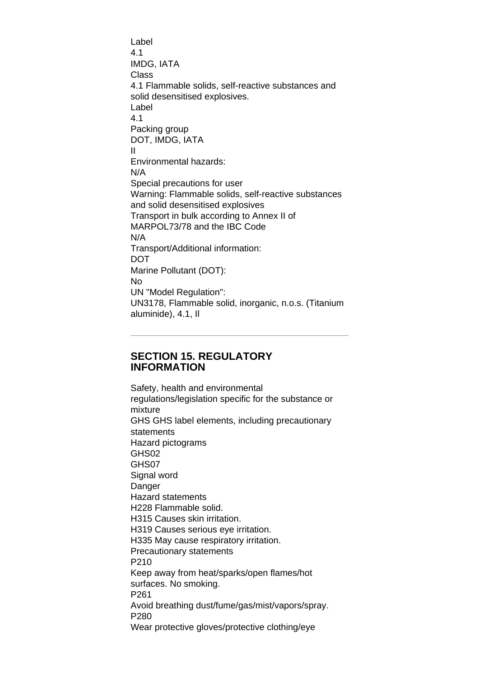Label 4.1 IMDG, IATA Class 4.1 Flammable solids, self-reactive substances and solid desensitised explosives. Label 4.1 Packing group DOT, IMDG, IATA II Environmental hazards: N/A Special precautions for user Warning: Flammable solids, self-reactive substances and solid desensitised explosives Transport in bulk according to Annex II of MARPOL73/78 and the IBC Code N/A Transport/Additional information: DOT Marine Pollutant (DOT): No UN "Model Regulation": UN3178, Flammable solid, inorganic, n.o.s. (Titanium aluminide), 4.1, Il

#### **SECTION 15. REGULATORY INFORMATION**

Safety, health and environmental regulations/legislation specific for the substance or mixture GHS GHS label elements, including precautionary statements Hazard pictograms GHS02 GHS07 Signal word **Danger** Hazard statements H228 Flammable solid. H315 Causes skin irritation. H319 Causes serious eye irritation. H335 May cause respiratory irritation. Precautionary statements P210 Keep away from heat/sparks/open flames/hot surfaces. No smoking. P261 Avoid breathing dust/fume/gas/mist/vapors/spray. P280 Wear protective gloves/protective clothing/eye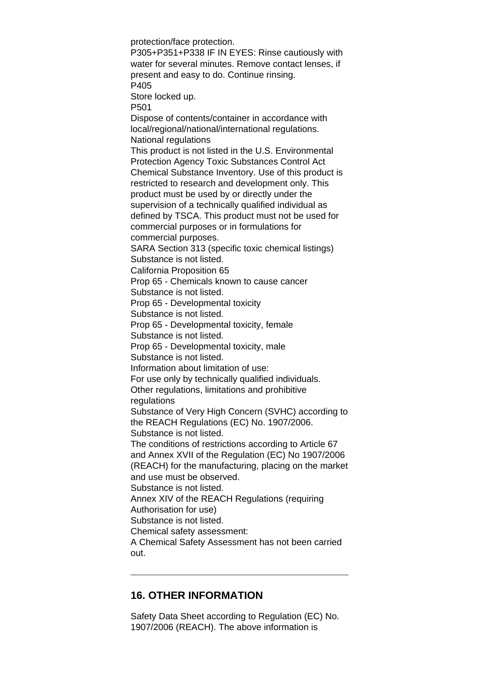protection/face protection. P305+P351+P338 IF IN EYES: Rinse cautiously with water for several minutes. Remove contact lenses, if present and easy to do. Continue rinsing. P405 Store locked up. P501 Dispose of contents/container in accordance with local/regional/national/international regulations. National regulations This product is not listed in the U.S. Environmental Protection Agency Toxic Substances Control Act Chemical Substance Inventory. Use of this product is restricted to research and development only. This product must be used by or directly under the supervision of a technically qualified individual as defined by TSCA. This product must not be used for commercial purposes or in formulations for commercial purposes. SARA Section 313 (specific toxic chemical listings) Substance is not listed. California Proposition 65 Prop 65 - Chemicals known to cause cancer Substance is not listed. Prop 65 - Developmental toxicity Substance is not listed. Prop 65 - Developmental toxicity, female Substance is not listed. Prop 65 - Developmental toxicity, male Substance is not listed. Information about limitation of use: For use only by technically qualified individuals. Other regulations, limitations and prohibitive regulations Substance of Very High Concern (SVHC) according to the REACH Regulations (EC) No. 1907/2006. Substance is not listed. The conditions of restrictions according to Article 67 and Annex XVII of the Regulation (EC) No 1907/2006 (REACH) for the manufacturing, placing on the market and use must be observed. Substance is not listed. Annex XIV of the REACH Regulations (requiring Authorisation for use) Substance is not listed. Chemical safety assessment: A Chemical Safety Assessment has not been carried out.

#### **16. OTHER INFORMATION**

Safety Data Sheet according to Regulation (EC) No. 1907/2006 (REACH). The above information is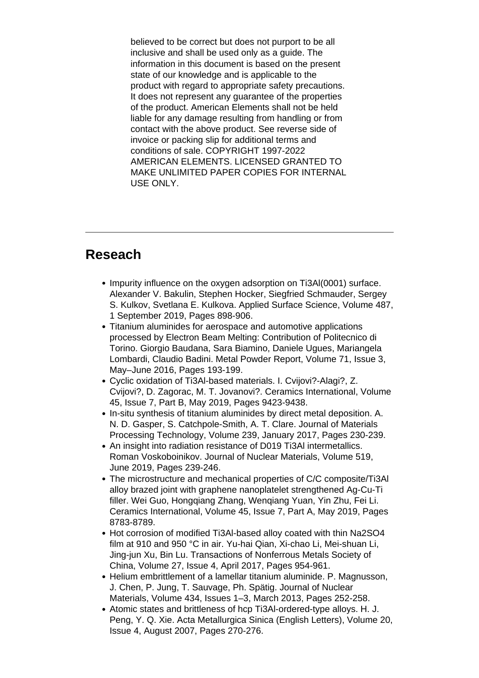believed to be correct but does not purport to be all inclusive and shall be used only as a guide. The information in this document is based on the present state of our knowledge and is applicable to the product with regard to appropriate safety precautions. It does not represent any guarantee of the properties of the product. American Elements shall not be held liable for any damage resulting from handling or from contact with the above product. See reverse side of invoice or packing slip for additional terms and conditions of sale. COPYRIGHT 1997-2022 AMERICAN ELEMENTS. LICENSED GRANTED TO MAKE UNLIMITED PAPER COPIES FOR INTERNAL USE ONLY.

## **Reseach**

- Impurity influence on the oxygen adsorption on Ti3Al(0001) surface. Alexander V. Bakulin, Stephen Hocker, Siegfried Schmauder, Sergey S. Kulkov, Svetlana E. Kulkova. Applied Surface Science, Volume 487, 1 September 2019, Pages 898-906.
- Titanium aluminides for aerospace and automotive applications processed by Electron Beam Melting: Contribution of Politecnico di Torino. Giorgio Baudana, Sara Biamino, Daniele Ugues, Mariangela Lombardi, Claudio Badini. Metal Powder Report, Volume 71, Issue 3, May–June 2016, Pages 193-199.
- Cyclic oxidation of Ti3Al-based materials. I. Cvijovi?-Alagi?, Z. Cvijovi?, D. Zagorac, M. T. Jovanovi?. Ceramics International, Volume 45, Issue 7, Part B, May 2019, Pages 9423-9438.
- In-situ synthesis of titanium aluminides by direct metal deposition. A. N. D. Gasper, S. Catchpole-Smith, A. T. Clare. Journal of Materials Processing Technology, Volume 239, January 2017, Pages 230-239.
- An insight into radiation resistance of D019 Ti3Al intermetallics. Roman Voskoboinikov. Journal of Nuclear Materials, Volume 519, June 2019, Pages 239-246.
- The microstructure and mechanical properties of C/C composite/Ti3Al alloy brazed joint with graphene nanoplatelet strengthened Ag-Cu-Ti filler. Wei Guo, Hongqiang Zhang, Wenqiang Yuan, Yin Zhu, Fei Li. Ceramics International, Volume 45, Issue 7, Part A, May 2019, Pages 8783-8789.
- Hot corrosion of modified Ti3Al-based alloy coated with thin Na2SO4 film at 910 and 950 °C in air. Yu-hai Qian, Xi-chao Li, Mei-shuan Li, Jing-jun Xu, Bin Lu. Transactions of Nonferrous Metals Society of China, Volume 27, Issue 4, April 2017, Pages 954-961.
- Helium embrittlement of a lamellar titanium aluminide. P. Magnusson, J. Chen, P. Jung, T. Sauvage, Ph. Spätig. Journal of Nuclear Materials, Volume 434, Issues 1–3, March 2013, Pages 252-258.
- Atomic states and brittleness of hcp Ti3Al-ordered-type alloys. H. J. Peng, Y. Q. Xie. Acta Metallurgica Sinica (English Letters), Volume 20, Issue 4, August 2007, Pages 270-276.